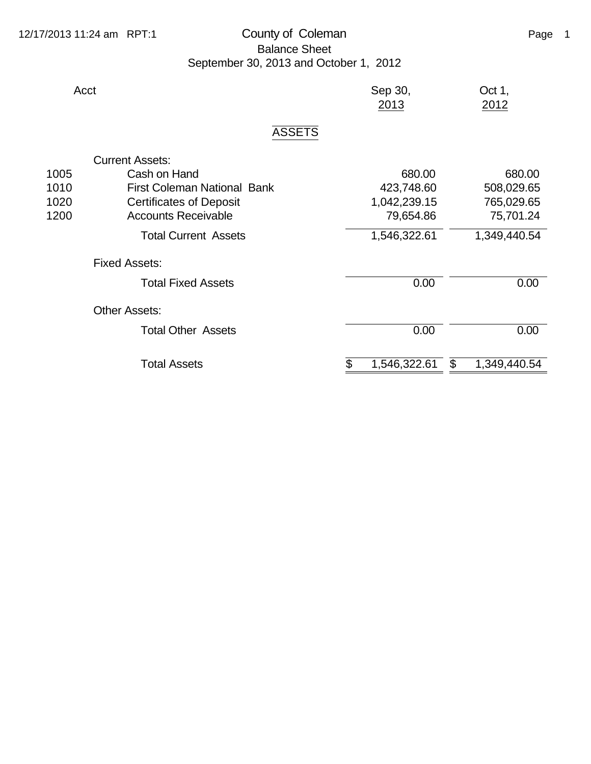## 12/17/2013 11:24 am RPT:1 County of Coleman Counter County of Love County of Late Coleman Page 1 Balance Sheet September 30, 2013 and October 1, 2012

| Acct                   |               | Sep 30,<br>2013 | Oct 1,<br>2012 |
|------------------------|---------------|-----------------|----------------|
|                        | <b>ASSETS</b> |                 |                |
| <b>Current Assets:</b> |               |                 |                |

| 1005 | Cash on Hand                       | 680.00       | 680.00             |
|------|------------------------------------|--------------|--------------------|
| 1010 | <b>First Coleman National Bank</b> | 423,748.60   | 508,029.65         |
| 1020 | <b>Certificates of Deposit</b>     | 1,042,239.15 | 765,029.65         |
| 1200 | <b>Accounts Receivable</b>         | 79,654.86    | 75,701.24          |
|      | <b>Total Current Assets</b>        | 1,546,322.61 | 1,349,440.54       |
|      | <b>Fixed Assets:</b>               |              |                    |
|      | <b>Total Fixed Assets</b>          | 0.00         | 0.00               |
|      | <b>Other Assets:</b>               |              |                    |
|      | <b>Total Other Assets</b>          | 0.00         | 0.00               |
|      |                                    |              |                    |
|      | <b>Total Assets</b>                | 1,546,322.61 | 1,349,440.54<br>\$ |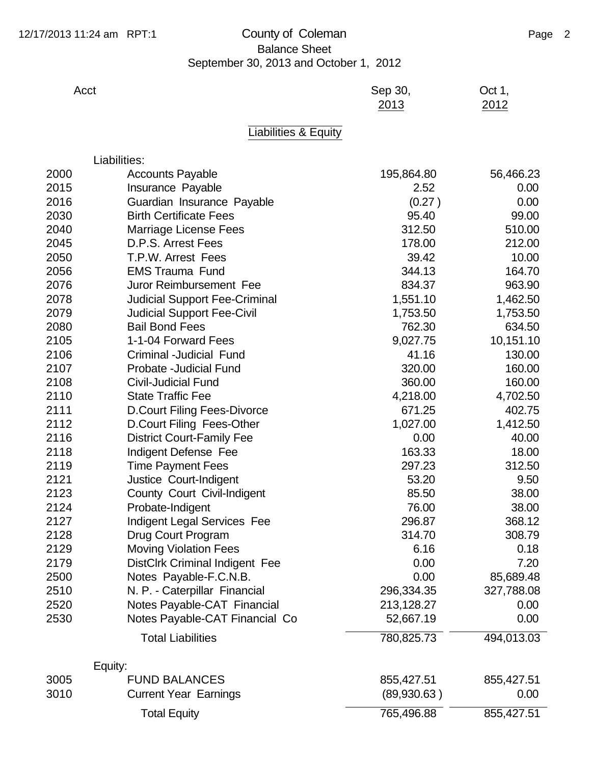## 12/17/2013 11:24 am RPT:1 County of Coleman Counter County of Love County of Lage 2 Balance Sheet September 30, 2013 and October 1, 2012

| Acct | Sep 30, | Oct 1, |
|------|---------|--------|
|      | 2013    | 2012   |

## Liabilities & Equity

|      | Liabilities:                          |             |            |
|------|---------------------------------------|-------------|------------|
| 2000 | <b>Accounts Payable</b>               | 195,864.80  | 56,466.23  |
| 2015 | Insurance Payable                     | 2.52        | 0.00       |
| 2016 | Guardian Insurance Payable            | (0.27)      | 0.00       |
| 2030 | <b>Birth Certificate Fees</b>         | 95.40       | 99.00      |
| 2040 | Marriage License Fees                 | 312.50      | 510.00     |
| 2045 | D.P.S. Arrest Fees                    | 178.00      | 212.00     |
| 2050 | T.P.W. Arrest Fees                    | 39.42       | 10.00      |
| 2056 | <b>EMS Trauma Fund</b>                | 344.13      | 164.70     |
| 2076 | Juror Reimbursement Fee               | 834.37      | 963.90     |
| 2078 | <b>Judicial Support Fee-Criminal</b>  | 1,551.10    | 1,462.50   |
| 2079 | <b>Judicial Support Fee-Civil</b>     | 1,753.50    | 1,753.50   |
| 2080 | <b>Bail Bond Fees</b>                 | 762.30      | 634.50     |
| 2105 | 1-1-04 Forward Fees                   | 9,027.75    | 10,151.10  |
| 2106 | Criminal -Judicial Fund               | 41.16       | 130.00     |
| 2107 | Probate - Judicial Fund               | 320.00      | 160.00     |
| 2108 | <b>Civil-Judicial Fund</b>            | 360.00      | 160.00     |
| 2110 | <b>State Traffic Fee</b>              | 4,218.00    | 4,702.50   |
| 2111 | <b>D.Court Filing Fees-Divorce</b>    | 671.25      | 402.75     |
| 2112 | D.Court Filing Fees-Other             | 1,027.00    | 1,412.50   |
| 2116 | <b>District Court-Family Fee</b>      | 0.00        | 40.00      |
| 2118 | Indigent Defense Fee                  | 163.33      | 18.00      |
| 2119 | <b>Time Payment Fees</b>              | 297.23      | 312.50     |
| 2121 | Justice Court-Indigent                | 53.20       | 9.50       |
| 2123 | County Court Civil-Indigent           | 85.50       | 38.00      |
| 2124 | Probate-Indigent                      | 76.00       | 38.00      |
| 2127 | <b>Indigent Legal Services Fee</b>    | 296.87      | 368.12     |
| 2128 | Drug Court Program                    | 314.70      | 308.79     |
| 2129 | <b>Moving Violation Fees</b>          | 6.16        | 0.18       |
| 2179 | <b>DistClrk Criminal Indigent Fee</b> | 0.00        | 7.20       |
| 2500 | Notes Payable-F.C.N.B.                | 0.00        | 85,689.48  |
| 2510 | N. P. - Caterpillar Financial         | 296,334.35  | 327,788.08 |
| 2520 | Notes Payable-CAT Financial           | 213,128.27  | 0.00       |
| 2530 | Notes Payable-CAT Financial Co        | 52,667.19   | 0.00       |
|      | <b>Total Liabilities</b>              | 780,825.73  | 494,013.03 |
|      | Equity:                               |             |            |
| 3005 | <b>FUND BALANCES</b>                  | 855,427.51  | 855,427.51 |
| 3010 | <b>Current Year Earnings</b>          | (89,930.63) | 0.00       |
|      | <b>Total Equity</b>                   | 765,496.88  | 855,427.51 |